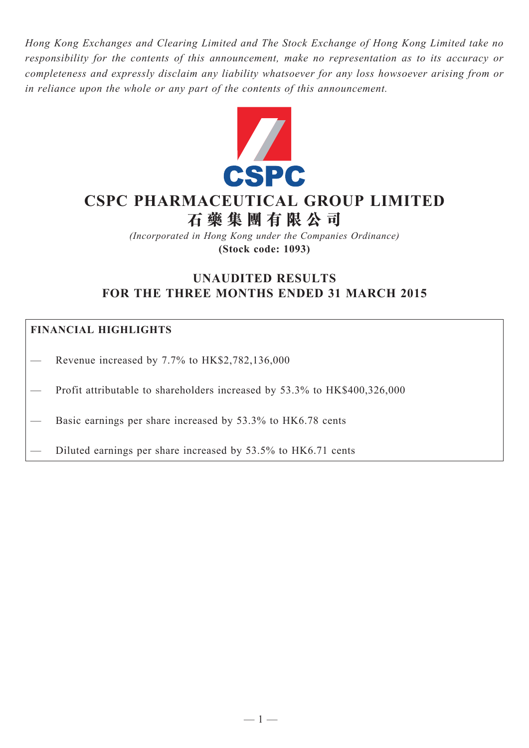*Hong Kong Exchanges and Clearing Limited and The Stock Exchange of Hong Kong Limited take no responsibility for the contents of this announcement, make no representation as to its accuracy or completeness and expressly disclaim any liability whatsoever for any loss howsoever arising from or in reliance upon the whole or any part of the contents of this announcement.*



# **CSPC Pharmaceutical Group Limited 石 藥 集 團 有 限 公 司**

*(Incorporated in Hong Kong under the Companies Ordinance)* **(Stock code: 1093)**

# **UNAUDITED RESULTS FOR THE THREE MONTHS ENDED 31 MARCH 2015**

### **FINANCIAL HIGHLIGHTS**

— Revenue increased by 7.7% to HK\$2,782,136,000

Profit attributable to shareholders increased by 53.3% to HK\$400,326,000

Basic earnings per share increased by 53.3% to HK6.78 cents

— Diluted earnings per share increased by 53.5% to HK6.71 cents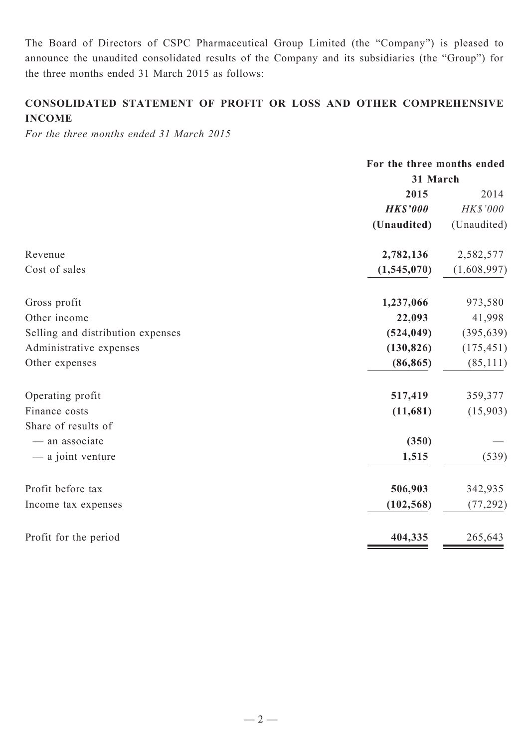The Board of Directors of CSPC Pharmaceutical Group Limited (the "Company") is pleased to announce the unaudited consolidated results of the Company and its subsidiaries (the "Group") for the three months ended 31 March 2015 as follows:

### **CONSOLIDATED STATEMENT OF PROFIT OR LOSS AND OTHER COMPREHENSIVE INCOME**

*For the three months ended 31 March 2015*

|                                   | For the three months ended<br>31 March |             |  |
|-----------------------------------|----------------------------------------|-------------|--|
|                                   |                                        |             |  |
|                                   | 2015                                   | 2014        |  |
|                                   | <b>HK\$'000</b>                        | HK\$'000    |  |
|                                   | (Unaudited)                            | (Unaudited) |  |
| Revenue                           | 2,782,136                              | 2,582,577   |  |
| Cost of sales                     | (1,545,070)                            | (1,608,997) |  |
| Gross profit                      | 1,237,066                              | 973,580     |  |
| Other income                      | 22,093                                 | 41,998      |  |
| Selling and distribution expenses | (524, 049)                             | (395, 639)  |  |
| Administrative expenses           | (130, 826)                             | (175, 451)  |  |
| Other expenses                    | (86, 865)                              | (85, 111)   |  |
| Operating profit                  | 517,419                                | 359,377     |  |
| Finance costs                     | (11,681)                               | (15,903)    |  |
| Share of results of               |                                        |             |  |
| - an associate                    | (350)                                  |             |  |
| — a joint venture                 | 1,515                                  | (539)       |  |
| Profit before tax                 | 506,903                                | 342,935     |  |
| Income tax expenses               | (102, 568)                             | (77, 292)   |  |
| Profit for the period             | 404,335                                | 265,643     |  |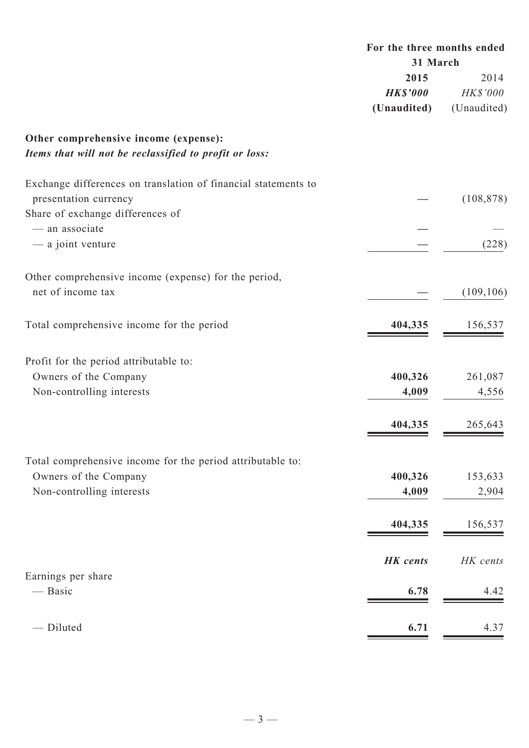|                                                                                                                             | For the three months ended<br>31 March |                                 |  |
|-----------------------------------------------------------------------------------------------------------------------------|----------------------------------------|---------------------------------|--|
|                                                                                                                             | 2015<br><b>HK\$'000</b><br>(Unaudited) | 2014<br>HK\$'000<br>(Unaudited) |  |
| Other comprehensive income (expense):<br>Items that will not be reclassified to profit or loss:                             |                                        |                                 |  |
| Exchange differences on translation of financial statements to<br>presentation currency<br>Share of exchange differences of |                                        | (108, 878)                      |  |
| - an associate<br>- a joint venture                                                                                         |                                        | (228)                           |  |
| Other comprehensive income (expense) for the period,<br>net of income tax                                                   |                                        | (109, 106)                      |  |
| Total comprehensive income for the period                                                                                   | 404,335                                | 156,537                         |  |
| Profit for the period attributable to:<br>Owners of the Company<br>Non-controlling interests                                | 400,326<br>4,009                       | 261,087<br>4,556                |  |
|                                                                                                                             | 404,335                                | 265,643                         |  |
| Total comprehensive income for the period attributable to:<br>Owners of the Company<br>Non-controlling interests            | 400,326<br>4,009                       | 153,633<br>2,904                |  |
|                                                                                                                             | 404,335                                | 156,537                         |  |
| Earnings per share<br>— Basic                                                                                               | <b>HK</b> cents<br>6.78                | HK cents<br>4.42                |  |
| - Diluted                                                                                                                   | 6.71                                   | 4.37                            |  |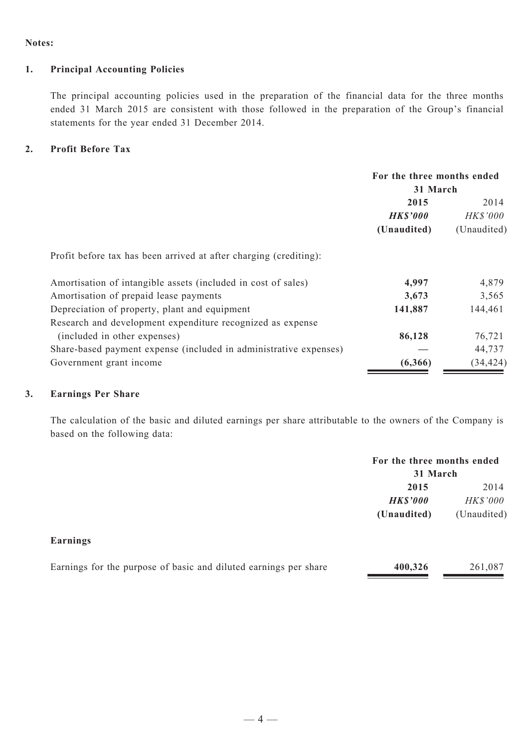#### **Notes:**

#### **1. Principal Accounting Policies**

The principal accounting policies used in the preparation of the financial data for the three months ended 31 March 2015 are consistent with those followed in the preparation of the Group's financial statements for the year ended 31 December 2014.

#### **2. Profit Before Tax**

|                                                                   | For the three months ended |             |  |  |
|-------------------------------------------------------------------|----------------------------|-------------|--|--|
|                                                                   |                            | 31 March    |  |  |
|                                                                   | 2015                       | 2014        |  |  |
|                                                                   | <b>HK\$'000</b>            | HK\$'000    |  |  |
|                                                                   | (Unaudited)                | (Unaudited) |  |  |
| Profit before tax has been arrived at after charging (crediting): |                            |             |  |  |
| Amortisation of intangible assets (included in cost of sales)     | 4,997                      | 4,879       |  |  |
| Amortisation of prepaid lease payments                            | 3,673                      | 3,565       |  |  |
| Depreciation of property, plant and equipment                     | 141,887                    | 144,461     |  |  |
| Research and development expenditure recognized as expense        |                            |             |  |  |
| (included in other expenses)                                      | 86,128                     | 76,721      |  |  |
| Share-based payment expense (included in administrative expenses) |                            | 44,737      |  |  |
| Government grant income                                           | (6,366)                    | (34, 424)   |  |  |

#### **3. Earnings Per Share**

The calculation of the basic and diluted earnings per share attributable to the owners of the Company is based on the following data:

|                                                                  | For the three months ended<br>31 March |             |  |
|------------------------------------------------------------------|----------------------------------------|-------------|--|
|                                                                  | 2015                                   | 2014        |  |
|                                                                  | <b>HK\$'000</b>                        | HK\$'000    |  |
|                                                                  | (Unaudited)                            | (Unaudited) |  |
| Earnings                                                         |                                        |             |  |
| Earnings for the purpose of basic and diluted earnings per share | 400,326                                | 261,087     |  |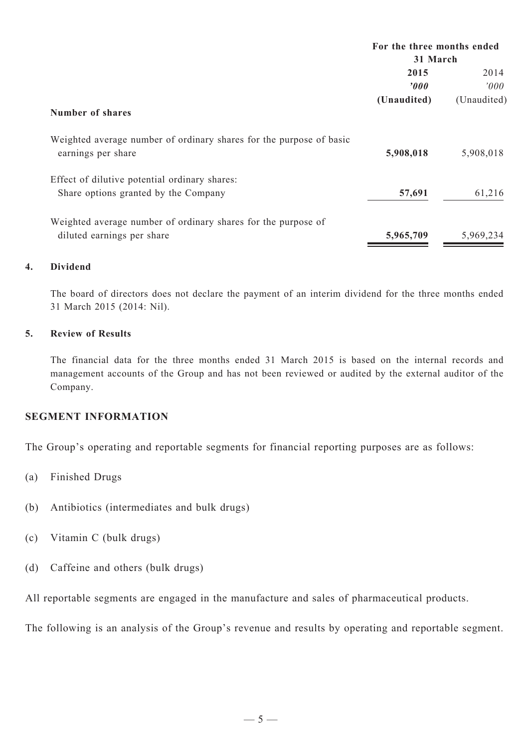|                                                                                           |                  | For the three months ended<br>31 March |  |  |
|-------------------------------------------------------------------------------------------|------------------|----------------------------------------|--|--|
|                                                                                           |                  |                                        |  |  |
|                                                                                           | 2015             | 2014                                   |  |  |
|                                                                                           | $\boldsymbol{v}$ | 000'                                   |  |  |
|                                                                                           | (Unaudited)      | (Unaudited)                            |  |  |
| Number of shares                                                                          |                  |                                        |  |  |
| Weighted average number of ordinary shares for the purpose of basic<br>earnings per share | 5,908,018        | 5,908,018                              |  |  |
| Effect of dilutive potential ordinary shares:                                             |                  |                                        |  |  |
| Share options granted by the Company                                                      | 57,691           | 61,216                                 |  |  |
| Weighted average number of ordinary shares for the purpose of                             |                  |                                        |  |  |
| diluted earnings per share                                                                | 5,965,709        | 5,969,234                              |  |  |
|                                                                                           |                  |                                        |  |  |

#### **4. Dividend**

The board of directors does not declare the payment of an interim dividend for the three months ended 31 March 2015 (2014: Nil).

#### **5. Review of Results**

The financial data for the three months ended 31 March 2015 is based on the internal records and management accounts of the Group and has not been reviewed or audited by the external auditor of the Company.

#### **SEGMENT INFORMATION**

The Group's operating and reportable segments for financial reporting purposes are as follows:

- (a) Finished Drugs
- (b) Antibiotics (intermediates and bulk drugs)
- (c) Vitamin C (bulk drugs)
- (d) Caffeine and others (bulk drugs)

All reportable segments are engaged in the manufacture and sales of pharmaceutical products.

The following is an analysis of the Group's revenue and results by operating and reportable segment.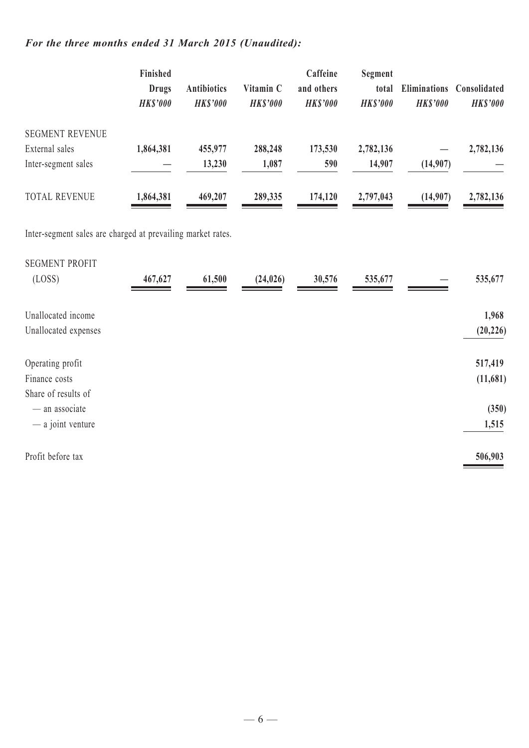## *For the three months ended 31 March 2015 (Unaudited):*

|                        | Finished<br><b>Drugs</b><br><b>HK\$'000</b> | <b>Antibiotics</b><br><b>HK\$'000</b> | Vitamin C<br><b>HKS'000</b> | Caffeine<br>and others<br><b>HKS'000</b> | Segment<br>total<br><b>HK\$'000</b> | Eliminations<br><b>HKS'000</b> | <b>Consolidated</b><br><b>HK\$'000</b> |
|------------------------|---------------------------------------------|---------------------------------------|-----------------------------|------------------------------------------|-------------------------------------|--------------------------------|----------------------------------------|
| <b>SEGMENT REVENUE</b> |                                             |                                       |                             |                                          |                                     |                                |                                        |
| External sales         | 1,864,381                                   | 455,977                               | 288,248                     | 173,530                                  | 2,782,136                           |                                | 2,782,136                              |
| Inter-segment sales    |                                             | 13,230                                | 1,087                       | 590                                      | 14,907                              | (14,907)                       |                                        |
| <b>TOTAL REVENUE</b>   | 1,864,381                                   | 469,207                               | 289,335                     | 174,120                                  | 2,797,043                           | (14,907)                       | 2,782,136                              |

Inter-segment sales are charged at prevailing market rates.

| <b>SEGMENT PROFIT</b><br>(LOSS)                          | 467,627 | 61,500 | (24, 026) | 30,576 | 535,677 | 535,677             |
|----------------------------------------------------------|---------|--------|-----------|--------|---------|---------------------|
| Unallocated income<br>Unallocated expenses               |         |        |           |        |         | 1,968<br>(20, 226)  |
| Operating profit<br>Finance costs<br>Share of results of |         |        |           |        |         | 517,419<br>(11,681) |
| - an associate<br>$-$ a joint venture                    |         |        |           |        |         | (350)<br>1,515      |
| Profit before tax                                        |         |        |           |        |         | 506,903             |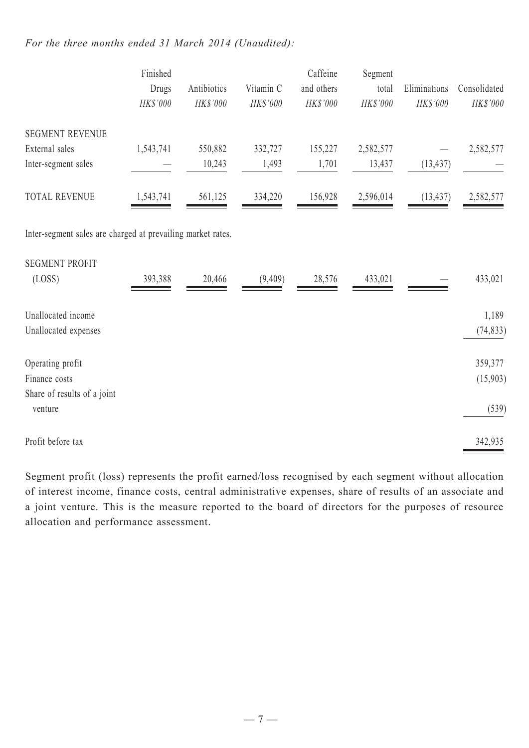#### *For the three months ended 31 March 2014 (Unaudited):*

|                                                             | Finished<br>Drugs<br>HK\$'000 | Antibiotics<br>HK\$'000 | Vitamin C<br>HK\$'000 | Caffeine<br>and others<br>HK\$'000 | Segment<br>total<br>HK\$'000 | Eliminations<br>HK\$'000 | Consolidated<br>HK\$'000 |
|-------------------------------------------------------------|-------------------------------|-------------------------|-----------------------|------------------------------------|------------------------------|--------------------------|--------------------------|
| <b>SEGMENT REVENUE</b>                                      |                               |                         |                       |                                    |                              |                          |                          |
| External sales                                              | 1,543,741                     | 550,882                 | 332,727               | 155,227                            | 2,582,577                    |                          | 2,582,577                |
| Inter-segment sales                                         |                               | 10,243                  | 1,493                 | 1,701                              | 13,437                       | (13, 437)                |                          |
| <b>TOTAL REVENUE</b>                                        | 1,543,741                     | 561,125                 | 334,220               | 156,928                            | 2,596,014                    | (13, 437)                | 2,582,577                |
| Inter-segment sales are charged at prevailing market rates. |                               |                         |                       |                                    |                              |                          |                          |
| <b>SEGMENT PROFIT</b>                                       |                               |                         |                       |                                    |                              |                          |                          |
| (LOSS)                                                      | 393,388                       | 20,466                  | (9,409)               | 28,576                             | 433,021                      |                          | 433,021                  |
| Unallocated income                                          |                               |                         |                       |                                    |                              |                          | 1,189                    |
| Unallocated expenses                                        |                               |                         |                       |                                    |                              |                          | (74, 833)                |
| Operating profit                                            |                               |                         |                       |                                    |                              |                          | 359,377                  |
| Finance costs                                               |                               |                         |                       |                                    |                              |                          | (15,903)                 |
| Share of results of a joint<br>venture                      |                               |                         |                       |                                    |                              |                          | (539)                    |
| Profit before tax                                           |                               |                         |                       |                                    |                              |                          | 342,935                  |

Segment profit (loss) represents the profit earned/loss recognised by each segment without allocation of interest income, finance costs, central administrative expenses, share of results of an associate and a joint venture. This is the measure reported to the board of directors for the purposes of resource allocation and performance assessment.